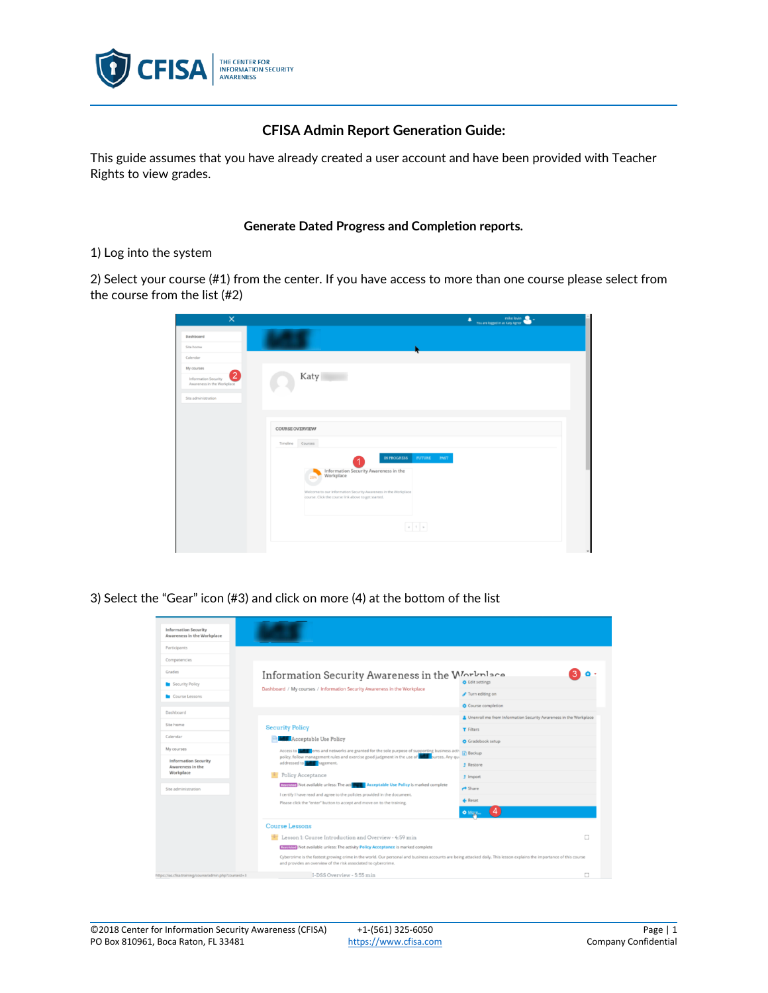

## **CFISA Admin Report Generation Guide:**

This guide assumes that you have already created a user account and have been provided with Teacher Rights to view grades.

## **Generate Dated Progress and Completion reports.**

## 1) Log into the system

2) Select your course (#1) from the center. If you have access to more than one course please select from the course from the list (#2)

| $\times$                                                                           | mike levin<br>٠<br>You are logged in as Katy Agnor                                                                                                                                                                         |
|------------------------------------------------------------------------------------|----------------------------------------------------------------------------------------------------------------------------------------------------------------------------------------------------------------------------|
| Dashboard                                                                          |                                                                                                                                                                                                                            |
| Site home                                                                          |                                                                                                                                                                                                                            |
| Calendar                                                                           |                                                                                                                                                                                                                            |
| My courses<br>$\overline{2}$<br>Information Security<br>Awareness in the Workplace | Katy                                                                                                                                                                                                                       |
| Site administration                                                                |                                                                                                                                                                                                                            |
|                                                                                    |                                                                                                                                                                                                                            |
|                                                                                    | COURSE OVERVIEW                                                                                                                                                                                                            |
|                                                                                    | Courses<br>Timeline                                                                                                                                                                                                        |
|                                                                                    | IN PROGRESS<br><b>FUTURE</b><br>PAST<br>Information Security Awareness in the<br>Workplace<br>20%<br>Welcome to our Information Security Awareness in the Workplace<br>course. Click the course link above to get started. |
|                                                                                    | $\kappa$   1   $\kappa$                                                                                                                                                                                                    |
|                                                                                    |                                                                                                                                                                                                                            |

3) Select the "Gear" icon (#3) and click on more (4) at the bottom of the list

| <b>Information Security</b><br>Awareness in the Workplace                           |                                                                                                                                                                                                                                                                                                                                                     |                                                                  |  |
|-------------------------------------------------------------------------------------|-----------------------------------------------------------------------------------------------------------------------------------------------------------------------------------------------------------------------------------------------------------------------------------------------------------------------------------------------------|------------------------------------------------------------------|--|
| Participants                                                                        |                                                                                                                                                                                                                                                                                                                                                     |                                                                  |  |
| Competencies                                                                        |                                                                                                                                                                                                                                                                                                                                                     |                                                                  |  |
| Grades                                                                              | Information Security Awareness in the Workplace                                                                                                                                                                                                                                                                                                     |                                                                  |  |
| Security Policy<br>Course Lessons                                                   | Dashboard / My courses / Information Security Awareness in the Workplace                                                                                                                                                                                                                                                                            | <b>O</b> Edit settings                                           |  |
|                                                                                     |                                                                                                                                                                                                                                                                                                                                                     | Turn editing on                                                  |  |
| Dashboard                                                                           |                                                                                                                                                                                                                                                                                                                                                     | Course completion                                                |  |
| Site home<br>Calendar                                                               | <b>Security Policy</b><br><b>Acceptable Use Policy</b><br><b>Complete Section</b> and networks are granted for the sole purpose of supporting business actives and networks are<br>Access to<br>policy, follow management rules and exercise good judgment in the use of <b>NATE</b> burces. Any qui<br>addressed to <b>the addressed</b> nagement. | Unenroll me from Information Security Awareness in the Workplace |  |
|                                                                                     |                                                                                                                                                                                                                                                                                                                                                     | <b>T</b> Filters                                                 |  |
|                                                                                     |                                                                                                                                                                                                                                                                                                                                                     | Gradebook setup                                                  |  |
| My courses                                                                          |                                                                                                                                                                                                                                                                                                                                                     |                                                                  |  |
| <b>Information Security</b><br>Awareness in the<br>Workplace<br>Site administration |                                                                                                                                                                                                                                                                                                                                                     | <b>f</b> Restore                                                 |  |
|                                                                                     | Policy Acceptance                                                                                                                                                                                                                                                                                                                                   | <b>f</b> Import                                                  |  |
|                                                                                     | <b>Restricted</b> Not available unless: The action of <b>Acceptable Use Policy</b> is marked complete<br>I certify I have read and agree to the policies provided in the document.<br>Please click the "enter" button to accept and move on to the training.                                                                                        | $\rightarrow$ Share                                              |  |
|                                                                                     |                                                                                                                                                                                                                                                                                                                                                     | <b>4</b> Reset                                                   |  |
|                                                                                     |                                                                                                                                                                                                                                                                                                                                                     |                                                                  |  |
|                                                                                     | <b>Course Lessons</b>                                                                                                                                                                                                                                                                                                                               |                                                                  |  |
|                                                                                     | <b>E</b> Lesson 1: Course Introduction and Overview - 4:59 min                                                                                                                                                                                                                                                                                      | $\Box$                                                           |  |
|                                                                                     | <b>EGURICO</b> Not available unless: The activity Policy Acceptance is marked complete                                                                                                                                                                                                                                                              |                                                                  |  |
|                                                                                     | Cybercrime is the fastest growing crime in the world. Our personal and business accounts are being attacked daily. This lesson explains the importance of this course<br>and provides an overview of the risk associated to cybercrime.                                                                                                             |                                                                  |  |
| https://ias.cfisa.training/course/admin.php?courseid=3                              | I-DSS Overview - 5:55 min                                                                                                                                                                                                                                                                                                                           | □                                                                |  |